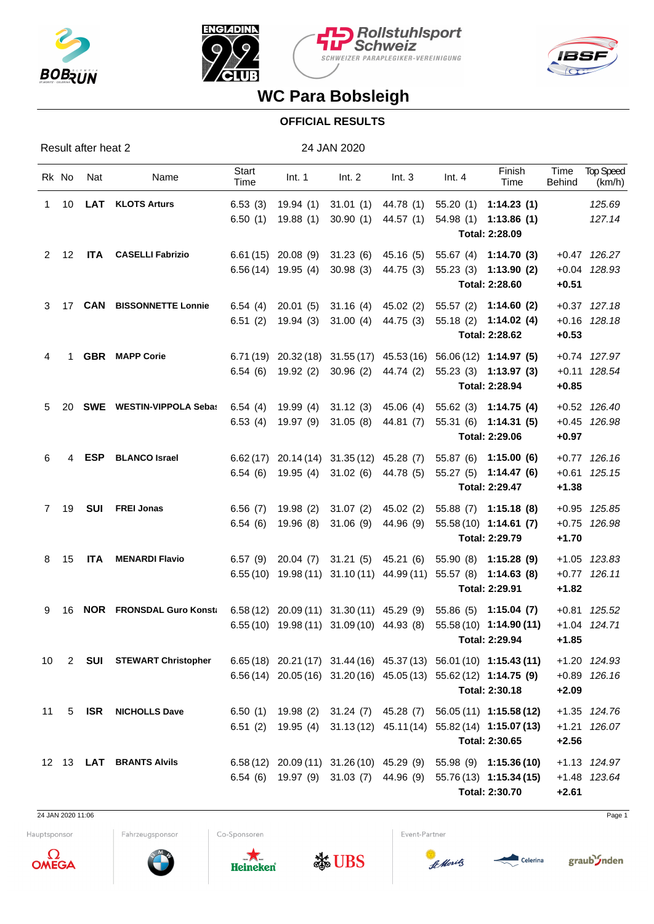







## **WC Para Bobsleigh**

## **OFFICIAL RESULTS**

Result after heat 2 24 JAN 2020

|              | Rk No | Nat        | Name                            | <b>Start</b><br>Time | Int. 1                                         | Int. 2 | Int.3                         | Int.4 | Finish<br>Time                                                                      | Time<br><b>Behind</b> | <b>Top Speed</b><br>(km/h) |
|--------------|-------|------------|---------------------------------|----------------------|------------------------------------------------|--------|-------------------------------|-------|-------------------------------------------------------------------------------------|-----------------------|----------------------------|
| $\mathbf{1}$ |       |            | 10 LAT KLOTS Arturs             | 6.53(3)              |                                                |        |                               |       | 19.94 (1) 31.01 (1) 44.78 (1) 55.20 (1) 1:14.23 (1)                                 |                       | 125.69                     |
|              |       |            |                                 | 6.50(1)              | 19.88 (1) 30.90 (1) 44.57 (1)                  |        |                               |       | 54.98 (1) 1:13.86 (1)<br>Total: 2:28.09                                             |                       | 127.14                     |
| 2            | 12    |            | ITA CASELLI Fabrizio            |                      | $6.61(15)$ 20.08 (9) 31.23 (6) 45.16 (5)       |        |                               |       | 55.67 (4) 1:14.70 (3)                                                               |                       | +0.47 126.27               |
|              |       |            |                                 |                      | $6.56(14)$ 19.95 (4) 30.98 (3) 44.75 (3)       |        |                               |       | 55.23 (3) 1:13.90 (2)<br>Total: 2:28.60                                             | $+0.51$               | +0.04 128.93               |
|              |       |            | 3 17 CAN BISSONNETTE Lonnie     | 6.54(4)              |                                                |        | 20.01 (5) 31.16 (4) 45.02 (2) |       | 55.57 (2) 1:14.60 (2)                                                               |                       | $+0.37$ 127.18             |
|              |       |            |                                 | 6.51(2)              |                                                |        | 19.94 (3) 31.00 (4) 44.75 (3) |       | $55.18(2)$ 1:14.02 (4)<br>Total: 2:28.62                                            | $+0.53$               | +0.16 128.18               |
| 4            | 1     |            | <b>GBR</b> MAPP Corie           |                      |                                                |        |                               |       | $6.71(19)$ $20.32(18)$ $31.55(17)$ $45.53(16)$ $56.06(12)$ <b>1:14.97 (5)</b>       |                       | +0.74 127.97               |
|              |       |            |                                 |                      | 6.54 (6) 19.92 (2) 30.96 (2) 44.74 (2)         |        |                               |       | 55.23 (3) 1:13.97 (3)<br>Total: 2:28.94                                             | $+0.85$               | +0.11 128.54               |
| 5            | 20    |            | <b>SWE</b> WESTIN-VIPPOLA Sebas | 6.54(4)              | 19.99 (4) 31.12 (3) 45.06 (4)                  |        |                               |       | $55.62(3)$ 1:14.75 (4)                                                              |                       | +0.52 126.40               |
|              |       |            |                                 |                      | 6.53 (4) 19.97 (9) 31.05 (8) 44.81 (7)         |        |                               |       | 55.31 (6) 1:14.31 (5)<br>Total: 2:29.06                                             | $+0.97$               | +0.45 126.98               |
| 6            | 4     | <b>ESP</b> | <b>BLANCO Israel</b>            |                      | $6.62(17)$ 20.14 (14) 31.35 (12) 45.28 (7)     |        |                               |       | 55.87 (6) 1:15.00 (6)                                                               |                       | $+0.77$ 126.16             |
|              |       |            |                                 |                      | $6.54(6)$ 19.95 (4) 31.02 (6) 44.78 (5)        |        |                               |       | 55.27 (5) 1:14.47 (6)<br>Total: 2:29.47                                             | $+1.38$               | $+0.61$ 125.15             |
|              | 7 19  |            | SUI FREI Jonas                  |                      | $6.56$ (7) $19.98$ (2) $31.07$ (2) $45.02$ (2) |        |                               |       | 55.88 (7) 1:15.18 (8)                                                               |                       | +0.95 125.85               |
|              |       |            |                                 |                      | $6.54(6)$ 19.96 (8) 31.06 (9) 44.96 (9)        |        |                               |       | $55.58(10)$ 1:14.61 (7)<br>Total: 2:29.79                                           | $+1.70$               | +0.75 126.98               |
| 8            | 15    | ITA        | <b>MENARDI Flavio</b>           | 6.57 (9)             |                                                |        | 20.04 (7) 31.21 (5) 45.21 (6) |       | 55.90 (8) 1:15.28 (9)                                                               |                       | +1.05 123.83               |
|              |       |            |                                 |                      |                                                |        |                               |       | 6.55 (10) 19.98 (11) 31.10 (11) 44.99 (11) 55.57 (8) 1:14.63 (8)<br>Total: 2:29.91  | $+1.82$               | $+0.77$ 126.11             |
| 9            | 16    |            | <b>NOR</b> FRONSDAL Guro Konsta |                      | 6.58 (12) 20.09 (11) 31.30 (11) 45.29 (9)      |        |                               |       | $55.86(5)$ 1:15.04 (7)                                                              |                       | +0.81 125.52               |
|              |       |            |                                 |                      | $6.55(10)$ 19.98 (11) 31.09 (10) 44.93 (8)     |        |                               |       | 55.58 (10) 1:14.90 (11)<br>Total: 2:29.94                                           | $+1.85$               | +1.04 124.71               |
| 10           |       |            | 2 SUI STEWART Christopher       |                      |                                                |        |                               |       | $6.65(18)$ 20.21 (17) 31.44 (16) 45.37 (13) 56.01 (10) 1:15.43 (11)                 |                       | +1.20 124.93               |
|              |       |            |                                 |                      |                                                |        |                               |       | 6.56 (14) 20.05 (16) 31.20 (16) 45.05 (13) 55.62 (12) 1:14.75 (9)<br>Total: 2:30.18 | $+2.09$               | +0.89 126.16               |
| 11           |       | 5 ISR      | <b>NICHOLLS Dave</b>            |                      |                                                |        |                               |       | 6.50 (1) 19.98 (2) 31.24 (7) 45.28 (7) 56.05 (11) 1:15.58 (12)                      |                       | +1.35 124.76               |
|              |       |            |                                 |                      |                                                |        |                               |       | 6.51 (2) 19.95 (4) 31.13 (12) 45.11 (14) 55.82 (14) 1:15.07 (13)<br>Total: 2:30.65  | $+2.56$               | +1.21 126.07               |
|              |       |            | 12 13 LAT BRANTS Alvils         |                      | $6.58(12)$ 20.09 (11) 31.26 (10) 45.29 (9)     |        |                               |       | $55.98(9)$ 1:15.36(10)                                                              |                       | +1.13 124.97               |
|              |       |            |                                 |                      | 6.54 (6) 19.97 (9) 31.03 (7) 44.96 (9)         |        |                               |       | 55.76 (13) 1:15.34 (15)<br>Total: 2:30.70                                           | $+2.61$               | +1.48 123.64               |
|              |       |            |                                 |                      |                                                |        |                               |       |                                                                                     |                       |                            |

24 JAN 2020 11:06 Page 1

Hauptsponsor



Co-Sponsoren

Fahrzeugsponsor







Event-Partner

graub<sup>y</sup>nden